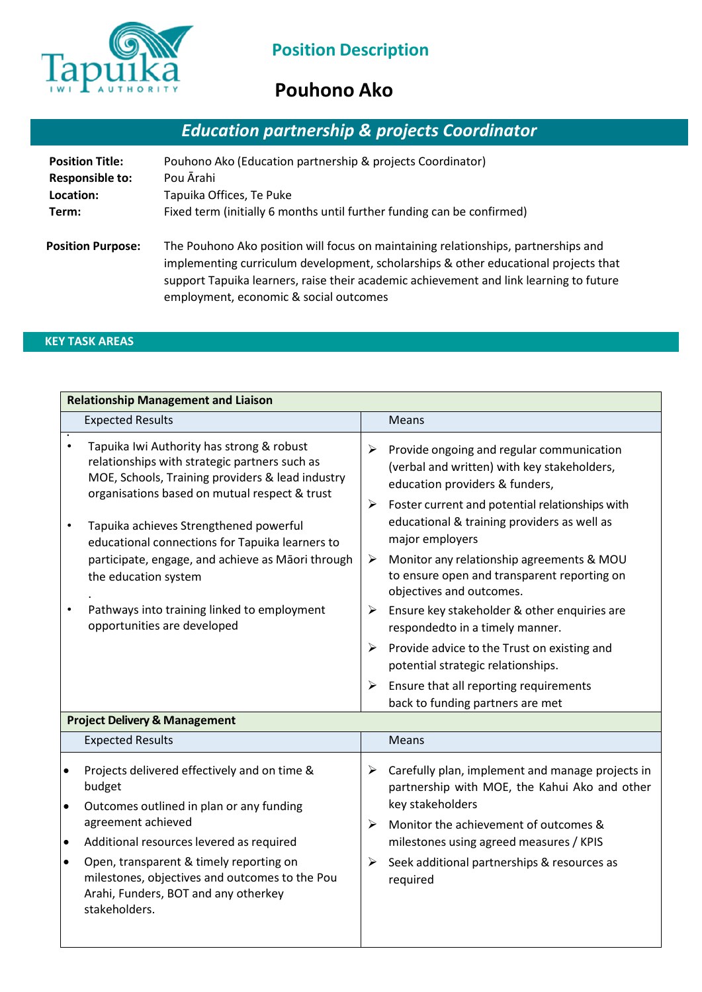

# **Pouhono Ako**

# *Education partnership & projects Coordinator*

| <b>Position Title:</b>   | Pouhono Ako (Education partnership & projects Coordinator)                                                                                                                                                                                                                                                    |
|--------------------------|---------------------------------------------------------------------------------------------------------------------------------------------------------------------------------------------------------------------------------------------------------------------------------------------------------------|
| <b>Responsible to:</b>   | Pou Ārahi                                                                                                                                                                                                                                                                                                     |
| Location:                | Tapuika Offices, Te Puke                                                                                                                                                                                                                                                                                      |
| Term:                    | Fixed term (initially 6 months until further funding can be confirmed)                                                                                                                                                                                                                                        |
| <b>Position Purpose:</b> | The Pouhono Ako position will focus on maintaining relationships, partnerships and<br>implementing curriculum development, scholarships & other educational projects that<br>support Tapuika learners, raise their academic achievement and link learning to future<br>employment, economic & social outcomes |

## **KEY TASK AREAS**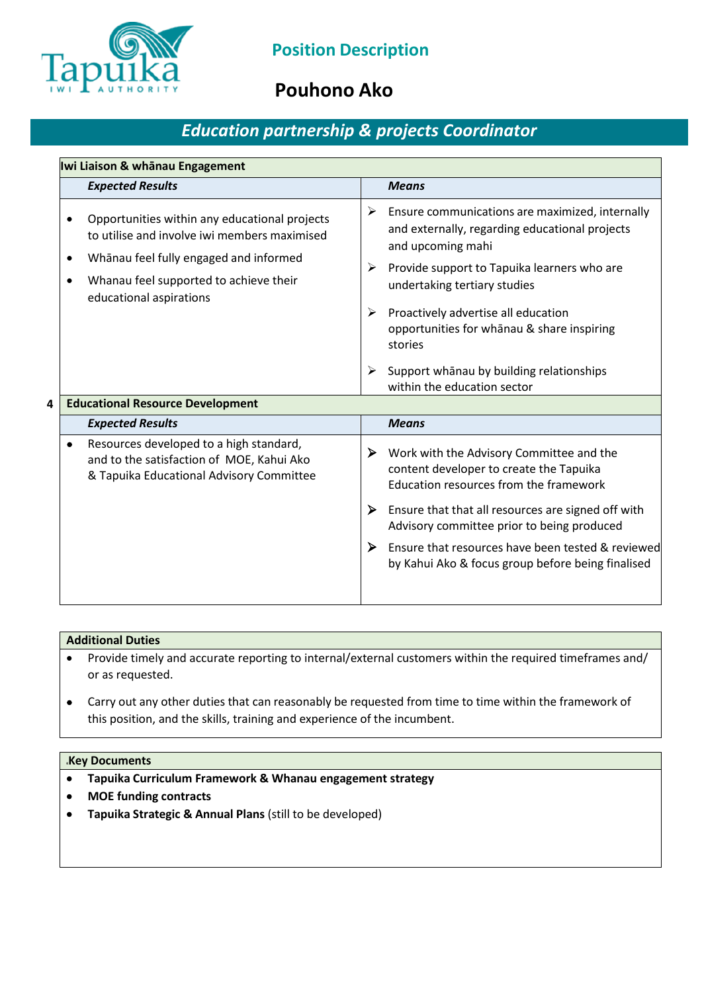

## **Pouhono Ako**

## *Education partnership & projects Coordinator*

| Iwi Liaison & whānau Engagement         |                                                                                                                                                                                                              |   |                                                                                                                                                                                                                                              |  |  |
|-----------------------------------------|--------------------------------------------------------------------------------------------------------------------------------------------------------------------------------------------------------------|---|----------------------------------------------------------------------------------------------------------------------------------------------------------------------------------------------------------------------------------------------|--|--|
|                                         | <b>Expected Results</b>                                                                                                                                                                                      |   | <b>Means</b>                                                                                                                                                                                                                                 |  |  |
|                                         | Opportunities within any educational projects<br>to utilise and involve iwi members maximised<br>Whanau feel fully engaged and informed<br>Whanau feel supported to achieve their<br>educational aspirations |   | Ensure communications are maximized, internally<br>and externally, regarding educational projects<br>and upcoming mahi<br>Provide support to Tapuika learners who are<br>undertaking tertiary studies<br>Proactively advertise all education |  |  |
|                                         |                                                                                                                                                                                                              | ➤ | opportunities for whanau & share inspiring<br>stories<br>Support whanau by building relationships<br>within the education sector                                                                                                             |  |  |
| <b>Educational Resource Development</b> |                                                                                                                                                                                                              |   |                                                                                                                                                                                                                                              |  |  |
|                                         | <b>Expected Results</b>                                                                                                                                                                                      |   | <b>Means</b>                                                                                                                                                                                                                                 |  |  |
|                                         | Resources developed to a high standard,<br>and to the satisfaction of MOE, Kahui Ako<br>& Tapuika Educational Advisory Committee                                                                             | ➤ | Work with the Advisory Committee and the<br>content developer to create the Tapuika<br>Education resources from the framework                                                                                                                |  |  |
|                                         |                                                                                                                                                                                                              | ➤ | Ensure that that all resources are signed off with<br>Advisory committee prior to being produced                                                                                                                                             |  |  |
|                                         |                                                                                                                                                                                                              | ➤ | Ensure that resources have been tested & reviewed<br>by Kahui Ako & focus group before being finalised                                                                                                                                       |  |  |

## **Additional Duties**

- Provide timely and accurate reporting to internal/external customers within the required timeframes and/ or as requested.
- Carry out any other duties that can reasonably be requested from time to time within the framework of this position, and the skills, training and experience of the incumbent.

### **KKey Documents**

- **Tapuika Curriculum Framework & Whanau engagement strategy**
- **MOE funding contracts**
- **Tapuika Strategic & Annual Plans** (still to be developed)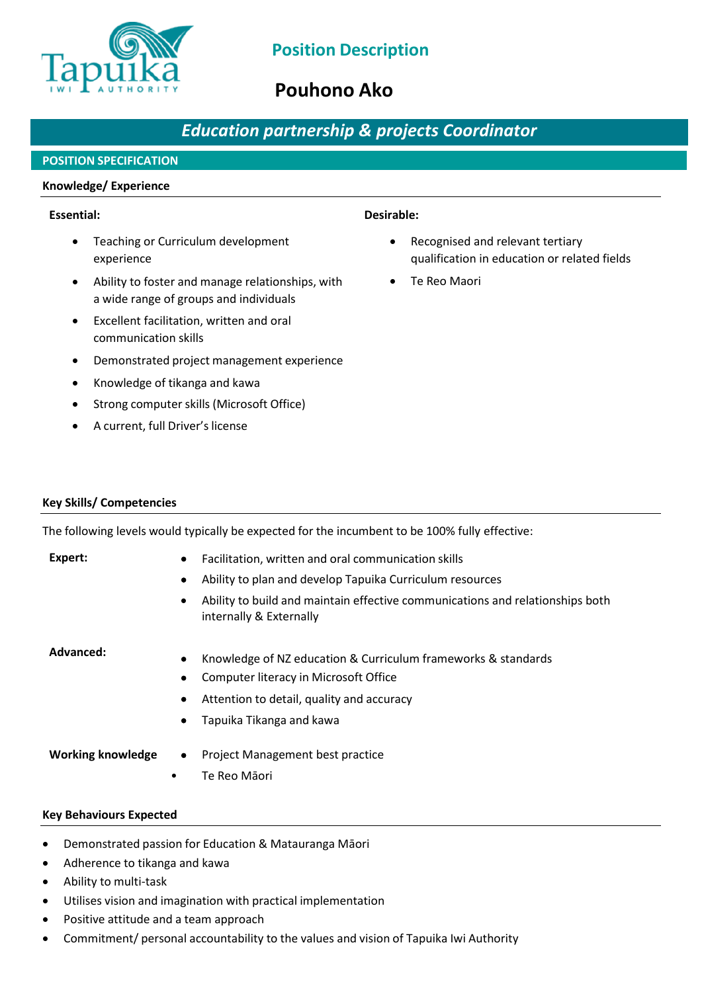

## **Pouhono Ako**

## *Education partnership & projects Coordinator*

## **POSITION SPECIFICATION**

### **Knowledge/ Experience**

## **Essential: Desirable:**

- Teaching or Curriculum development experience
- Ability to foster and manage relationships, with a wide range of groups and individuals
- Excellent facilitation, written and oral communication skills
- Demonstrated project management experience
- Knowledge of tikanga and kawa
- Strong computer skills (Microsoft Office)
- A current, full Driver's license

- Recognised and relevant tertiary qualification in education or related fields
- Te Reo Maori

### **Key Skills/ Competencies**

The following levels would typically be expected for the incumbent to be 100% fully effective:

### **Expert:**

- Facilitation, written and oral communication skills
- Ability to plan and develop Tapuika Curriculum resources
- Ability to build and maintain effective communications and relationships both internally & Externally

### **Advanced:**

- Knowledge of NZ education & Curriculum frameworks & standards
- Computer literacy in Microsoft Office
- Attention to detail, quality and accuracy
- Tapuika Tikanga and kawa

**Working knowledge**

- Project Management best practice
- Te Reo Māori

### **Key Behaviours Expected**

- Demonstrated passion for Education & Matauranga Māori
- Adherence to tikanga and kawa
- Ability to multi-task
- Utilises vision and imagination with practical implementation
- Positive attitude and a team approach
- Commitment/ personal accountability to the values and vision of Tapuika Iwi Authority